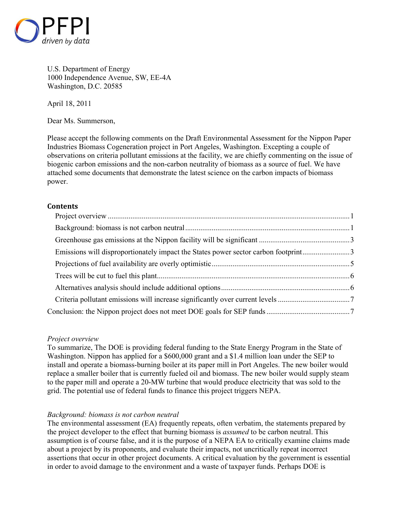

U.S. Department of Energy 1000 Independence Avenue, SW, EE-4A Washington, D.C. 20585

April 18, 2011

Dear Ms. Summerson,

Please accept the following comments on the Draft Environmental Assessment for the Nippon Paper Industries Biomass Cogeneration project in Port Angeles, Washington. Excepting a couple of observations on criteria pollutant emissions at the facility, we are chiefly commenting on the issue of biogenic carbon emissions and the non-carbon neutrality of biomass as a source of fuel. We have attached some documents that demonstrate the latest science on the carbon impacts of biomass power.

# **Contents**

| Emissions will disproportionately impact the States power sector carbon footprint3 |  |
|------------------------------------------------------------------------------------|--|
|                                                                                    |  |
|                                                                                    |  |
|                                                                                    |  |
|                                                                                    |  |
|                                                                                    |  |
|                                                                                    |  |

# *Project overview*

To summarize, The DOE is providing federal funding to the State Energy Program in the State of Washington. Nippon has applied for a \$600,000 grant and a \$1.4 million loan under the SEP to install and operate a biomass-burning boiler at its paper mill in Port Angeles. The new boiler would replace a smaller boiler that is currently fueled oil and biomass. The new boiler would supply steam to the paper mill and operate a 20-MW turbine that would produce electricity that was sold to the grid. The potential use of federal funds to finance this project triggers NEPA.

# *Background: biomass is not carbon neutral*

The environmental assessment (EA) frequently repeats, often verbatim, the statements prepared by the project developer to the effect that burning biomass is *assumed* to be carbon neutral. This assumption is of course false, and it is the purpose of a NEPA EA to critically examine claims made about a project by its proponents, and evaluate their impacts, not uncritically repeat incorrect assertions that occur in other project documents. A critical evaluation by the government is essential in order to avoid damage to the environment and a waste of taxpayer funds. Perhaps DOE is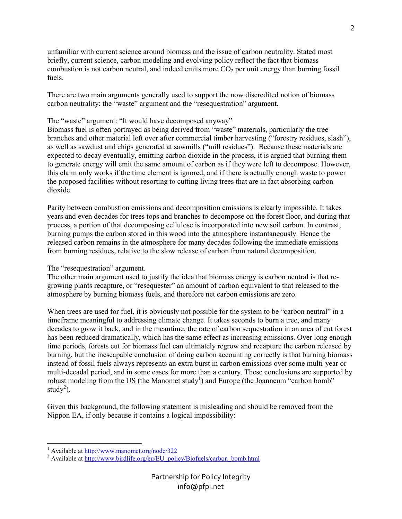unfamiliar with current science around biomass and the issue of carbon neutrality. Stated most briefly, current science, carbon modeling and evolving policy reflect the fact that biomass combustion is not carbon neutral, and indeed emits more  $CO<sub>2</sub>$  per unit energy than burning fossil fuels.

There are two main arguments generally used to support the now discredited notion of biomass carbon neutrality: the "waste" argument and the "resequestration" argument.

# The "waste" argument: "It would have decomposed anyway"

Biomass fuel is often portrayed as being derived from "waste" materials, particularly the tree branches and other material left over after commercial timber harvesting ("forestry residues, slash"), as well as sawdust and chips generated at sawmills ("mill residues"). Because these materials are expected to decay eventually, emitting carbon dioxide in the process, it is argued that burning them to generate energy will emit the same amount of carbon as if they were left to decompose. However, this claim only works if the time element is ignored, and if there is actually enough waste to power the proposed facilities without resorting to cutting living trees that are in fact absorbing carbon dioxide.

Parity between combustion emissions and decomposition emissions is clearly impossible. It takes years and even decades for trees tops and branches to decompose on the forest floor, and during that process, a portion of that decomposing cellulose is incorporated into new soil carbon. In contrast, burning pumps the carbon stored in this wood into the atmosphere instantaneously. Hence the released carbon remains in the atmosphere for many decades following the immediate emissions from burning residues, relative to the slow release of carbon from natural decomposition.

# The "resequestration" argument.

The other main argument used to justify the idea that biomass energy is carbon neutral is that regrowing plants recapture, or "resequester" an amount of carbon equivalent to that released to the atmosphere by burning biomass fuels, and therefore net carbon emissions are zero.

When trees are used for fuel, it is obviously not possible for the system to be "carbon neutral" in a timeframe meaningful to addressing climate change. It takes seconds to burn a tree, and many decades to grow it back, and in the meantime, the rate of carbon sequestration in an area of cut forest has been reduced dramatically, which has the same effect as increasing emissions. Over long enough time periods, forests cut for biomass fuel can ultimately regrow and recapture the carbon released by burning, but the inescapable conclusion of doing carbon accounting correctly is that burning biomass instead of fossil fuels always represents an extra burst in carbon emissions over some multi-year or multi-decadal period, and in some cases for more than a century. These conclusions are supported by robust modeling from the US (the Manomet study<sup>1</sup>) and Europe (the Joanneum "carbon bomb" study<sup>2</sup>).

Given this background, the following statement is misleading and should be removed from the Nippon EA, if only because it contains a logical impossibility:

<sup>1&</sup>lt;br><sup>1</sup> Available at <u>http://www.manomet.org/node/322</u>

<sup>&</sup>lt;sup>2</sup> Available at http://www.birdlife.org/eu/EU\_policy/Biofuels/carbon\_bomb.html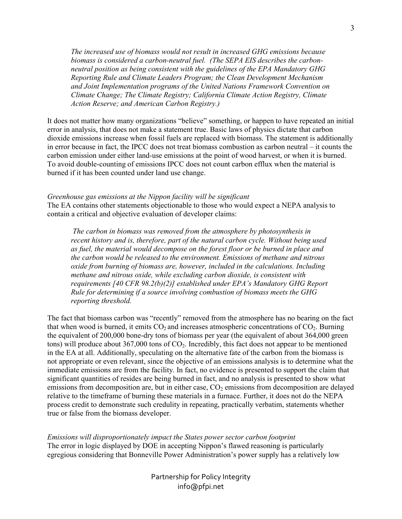*The increased use of biomass would not result in increased GHG emissions because biomass is considered a carbon-neutral fuel. (The SEPA EIS describes the carbonneutral position as being consistent with the guidelines of the EPA Mandatory GHG Reporting Rule and Climate Leaders Program; the Clean Development Mechanism and Joint Implementation programs of the United Nations Framework Convention on Climate Change; The Climate Registry; California Climate Action Registry, Climate Action Reserve; and American Carbon Registry.)* 

It does not matter how many organizations "believe" something, or happen to have repeated an initial error in analysis, that does not make a statement true. Basic laws of physics dictate that carbon dioxide emissions increase when fossil fuels are replaced with biomass. The statement is additionally in error because in fact, the IPCC does not treat biomass combustion as carbon neutral – it counts the carbon emission under either land-use emissions at the point of wood harvest, or when it is burned. To avoid double-counting of emissions IPCC does not count carbon efflux when the material is burned if it has been counted under land use change.

### *Greenhouse gas emissions at the Nippon facility will be significant*

The EA contains other statements objectionable to those who would expect a NEPA analysis to contain a critical and objective evaluation of developer claims:

 *The carbon in biomass was removed from the atmosphere by photosynthesis in recent history and is, therefore, part of the natural carbon cycle. Without being used as fuel, the material would decompose on the forest floor or be burned in place and the carbon would be released to the environment. Emissions of methane and nitrous oxide from burning of biomass are, however, included in the calculations. Including methane and nitrous oxide, while excluding carbon dioxide, is consistent with requirements [40 CFR 98.2(b)(2)] established under EPA's Mandatory GHG Report Rule for determining if a source involving combustion of biomass meets the GHG reporting threshold.* 

The fact that biomass carbon was "recently" removed from the atmosphere has no bearing on the fact that when wood is burned, it emits  $CO<sub>2</sub>$  and increases atmospheric concentrations of  $CO<sub>2</sub>$ . Burning the equivalent of 200,000 bone-dry tons of biomass per year (the equivalent of about 364,000 green tons) will produce about 367,000 tons of  $CO<sub>2</sub>$ . Incredibly, this fact does not appear to be mentioned in the EA at all. Additionally, speculating on the alternative fate of the carbon from the biomass is not appropriate or even relevant, since the objective of an emissions analysis is to determine what the immediate emissions are from the facility. In fact, no evidence is presented to support the claim that significant quantities of resides are being burned in fact, and no analysis is presented to show what emissions from decomposition are, but in either case,  $CO<sub>2</sub>$  emissions from decomposition are delayed relative to the timeframe of burning these materials in a furnace. Further, it does not do the NEPA process credit to demonstrate such credulity in repeating, practically verbatim, statements whether true or false from the biomass developer.

*Emissions will disproportionately impact the States power sector carbon footprint*  The error in logic displayed by DOE in accepting Nippon's flawed reasoning is particularly egregious considering that Bonneville Power Administration's power supply has a relatively low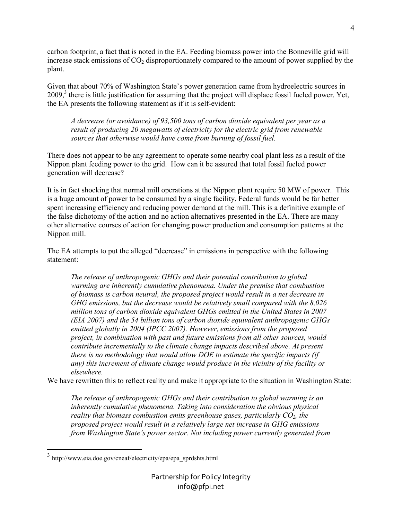carbon footprint, a fact that is noted in the EA. Feeding biomass power into the Bonneville grid will increase stack emissions of  $CO<sub>2</sub>$  disproportionately compared to the amount of power supplied by the plant.

Given that about 70% of Washington State's power generation came from hydroelectric sources in 2009,<sup>3</sup> there is little justification for assuming that the project will displace fossil fueled power. Yet, the EA presents the following statement as if it is self-evident:

*A decrease (or avoidance) of 93,500 tons of carbon dioxide equivalent per year as a result of producing 20 megawatts of electricity for the electric grid from renewable sources that otherwise would have come from burning of fossil fuel.* 

There does not appear to be any agreement to operate some nearby coal plant less as a result of the Nippon plant feeding power to the grid. How can it be assured that total fossil fueled power generation will decrease?

It is in fact shocking that normal mill operations at the Nippon plant require 50 MW of power. This is a huge amount of power to be consumed by a single facility. Federal funds would be far better spent increasing efficiency and reducing power demand at the mill. This is a definitive example of the false dichotomy of the action and no action alternatives presented in the EA. There are many other alternative courses of action for changing power production and consumption patterns at the Nippon mill.

The EA attempts to put the alleged "decrease" in emissions in perspective with the following statement:

*The release of anthropogenic GHGs and their potential contribution to global warming are inherently cumulative phenomena. Under the premise that combustion of biomass is carbon neutral, the proposed project would result in a net decrease in GHG emissions, but the decrease would be relatively small compared with the 8,026 million tons of carbon dioxide equivalent GHGs emitted in the United States in 2007 (EIA 2007) and the 54 billion tons of carbon dioxide equivalent anthropogenic GHGs emitted globally in 2004 (IPCC 2007). However, emissions from the proposed project, in combination with past and future emissions from all other sources, would contribute incrementally to the climate change impacts described above. At present there is no methodology that would allow DOE to estimate the specific impacts (if any) this increment of climate change would produce in the vicinity of the facility or elsewhere.* 

We have rewritten this to reflect reality and make it appropriate to the situation in Washington State:

*The release of anthropogenic GHGs and their contribution to global warming is an inherently cumulative phenomena. Taking into consideration the obvious physical reality that biomass combustion emits greenhouse gases, particularly CO2, the proposed project would result in a relatively large net increase in GHG emissions from Washington State's power sector. Not including power currently generated from*  4

 3 http://www.eia.doe.gov/cneaf/electricity/epa/epa\_sprdshts.html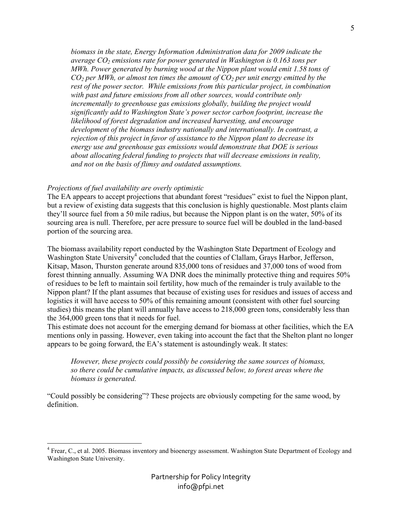*biomass in the state, Energy Information Administration data for 2009 indicate the average CO2 emissions rate for power generated in Washington is 0.163 tons per MWh. Power generated by burning wood at the Nippon plant would emit 1.58 tons of CO2 per MWh, or almost ten times the amount of CO2 per unit energy emitted by the rest of the power sector. While emissions from this particular project, in combination with past and future emissions from all other sources, would contribute only incrementally to greenhouse gas emissions globally, building the project would significantly add to Washington State's power sector carbon footprint, increase the likelihood of forest degradation and increased harvesting, and encourage development of the biomass industry nationally and internationally. In contrast, a rejection of this project in favor of assistance to the Nippon plant to decrease its energy use and greenhouse gas emissions would demonstrate that DOE is serious about allocating federal funding to projects that will decrease emissions in reality, and not on the basis of flimsy and outdated assumptions.* 

### *Projections of fuel availability are overly optimistic*

-

The EA appears to accept projections that abundant forest "residues" exist to fuel the Nippon plant, but a review of existing data suggests that this conclusion is highly questionable. Most plants claim they'll source fuel from a 50 mile radius, but because the Nippon plant is on the water, 50% of its sourcing area is null. Therefore, per acre pressure to source fuel will be doubled in the land-based portion of the sourcing area.

The biomass availability report conducted by the Washington State Department of Ecology and Washington State University<sup>4</sup> concluded that the counties of Clallam, Grays Harbor, Jefferson, Kitsap, Mason, Thurston generate around 835,000 tons of residues and 37,000 tons of wood from forest thinning annually. Assuming WA DNR does the minimally protective thing and requires 50% of residues to be left to maintain soil fertility, how much of the remainder is truly available to the Nippon plant? If the plant assumes that because of existing uses for residues and issues of access and logistics it will have access to 50% of this remaining amount (consistent with other fuel sourcing studies) this means the plant will annually have access to 218,000 green tons, considerably less than the 364,000 green tons that it needs for fuel.

This estimate does not account for the emerging demand for biomass at other facilities, which the EA mentions only in passing. However, even taking into account the fact that the Shelton plant no longer appears to be going forward, the EA's statement is astoundingly weak. It states:

*However, these projects could possibly be considering the same sources of biomass, so there could be cumulative impacts, as discussed below, to forest areas where the biomass is generated.* 

"Could possibly be considering"? These projects are obviously competing for the same wood, by definition.

<sup>&</sup>lt;sup>4</sup> Frear, C., et al. 2005. Biomass inventory and bioenergy assessment. Washington State Department of Ecology and Washington State University.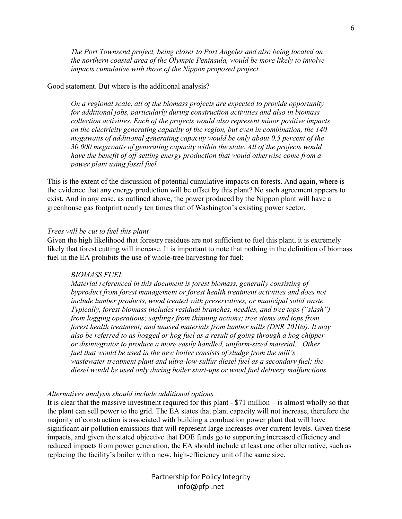*The Port Townsend project, being closer to Port Angeles and also being located on the northern coastal area of the Olympic Peninsula, would be more likely to involve impacts cumulative with those of the Nippon proposed project.* 

## Good statement. But where is the additional analysis?

*On a regional scale, all of the biomass projects are expected to provide opportunity for additional jobs, particularly during construction activities and also in biomass collection activities. Each of the projects would also represent minor positive impacts on the electricity generating capacity of the region, but even in combination, the 140 megawatts of additional generating capacity would be only about 0.5 percent of the 30,000 megawatts of generating capacity within the state. All of the projects would have the benefit of off-setting energy production that would otherwise come from a power plant using fossil fuel.* 

This is the extent of the discussion of potential cumulative impacts on forests. And again, where is the evidence that any energy production will be offset by this plant? No such agreement appears to exist. And in any case, as outlined above, the power produced by the Nippon plant will have a greenhouse gas footprint nearly ten times that of Washington's existing power sector.

#### *Trees will be cut to fuel this plant*

Given the high likelihood that forestry residues are not sufficient to fuel this plant, it is extremely likely that forest cutting will increase. It is important to note that nothing in the definition of biomass fuel in the EA prohibits the use of whole-tree harvesting for fuel:

## *BIOMASS FUEL*

*Material referenced in this document is forest biomass, generally consisting of byproduct from forest management or forest health treatment activities and does not include lumber products, wood treated with preservatives, or municipal solid waste. Typically, forest biomass includes residual branches, needles, and tree tops ("slash") from logging operations; saplings from thinning actions; tree stems and tops from forest health treatment; and unused materials from lumber mills (DNR 2010a). It may also be referred to as hogged or hog fuel as a result of going through a hog chipper or disintegrator to produce a more easily handled, uniform-sized material. Other fuel that would be used in the new boiler consists of sludge from the mill's wastewater treatment plant and ultra-low-sulfur diesel fuel as a secondary fuel; the diesel would be used only during boiler start-ups or wood fuel delivery malfunctions.* 

#### *Alternatives analysis should include additional options*

It is clear that the massive investment required for this plant - \$71 million – is almost wholly so that the plant can sell power to the grid. The EA states that plant capacity will not increase, therefore the majority of construction is associated with building a combustion power plant that will have significant air pollution emissions that will represent large increases over current levels. Given these impacts, and given the stated objective that DOE funds go to supporting increased efficiency and reduced impacts from power generation, the EA should include at least one other alternative, such as replacing the facility's boiler with a new, high-efficiency unit of the same size.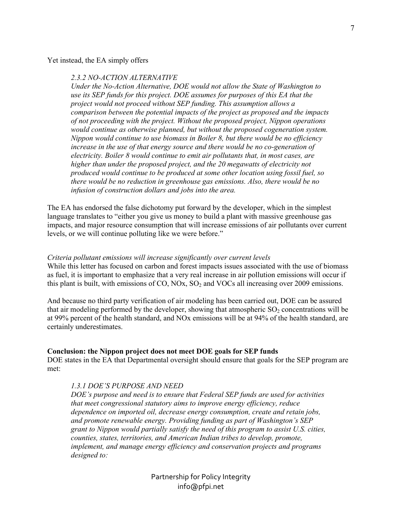Yet instead, the EA simply offers

## *2.3.2 NO-ACTION ALTERNATIVE*

*Under the No-Action Alternative, DOE would not allow the State of Washington to use its SEP funds for this project. DOE assumes for purposes of this EA that the project would not proceed without SEP funding. This assumption allows a comparison between the potential impacts of the project as proposed and the impacts of not proceeding with the project. Without the proposed project, Nippon operations would continue as otherwise planned, but without the proposed cogeneration system. Nippon would continue to use biomass in Boiler 8, but there would be no efficiency*  increase in the use of that energy source and there would be no co-generation of *electricity. Boiler 8 would continue to emit air pollutants that, in most cases, are higher than under the proposed project, and the 20 megawatts of electricity not produced would continue to be produced at some other location using fossil fuel, so there would be no reduction in greenhouse gas emissions. Also, there would be no infusion of construction dollars and jobs into the area.* 

The EA has endorsed the false dichotomy put forward by the developer, which in the simplest language translates to "either you give us money to build a plant with massive greenhouse gas impacts, and major resource consumption that will increase emissions of air pollutants over current levels, or we will continue polluting like we were before."

### *Criteria pollutant emissions will increase significantly over current levels*

While this letter has focused on carbon and forest impacts issues associated with the use of biomass as fuel, it is important to emphasize that a very real increase in air pollution emissions will occur if this plant is built, with emissions of CO, NOx,  $SO<sub>2</sub>$  and VOCs all increasing over 2009 emissions.

And because no third party verification of air modeling has been carried out, DOE can be assured that air modeling performed by the developer, showing that atmospheric  $SO_2$  concentrations will be at 99% percent of the health standard, and NOx emissions will be at 94% of the health standard, are certainly underestimates.

#### **Conclusion: the Nippon project does not meet DOE goals for SEP funds**

DOE states in the EA that Departmental oversight should ensure that goals for the SEP program are met:

## *1.3.1 DOE'S PURPOSE AND NEED*

*DOE's purpose and need is to ensure that Federal SEP funds are used for activities that meet congressional statutory aims to improve energy efficiency, reduce dependence on imported oil, decrease energy consumption, create and retain jobs, and promote renewable energy. Providing funding as part of Washington's SEP grant to Nippon would partially satisfy the need of this program to assist U.S. cities, counties, states, territories, and American Indian tribes to develop, promote, implement, and manage energy efficiency and conservation projects and programs designed to:*